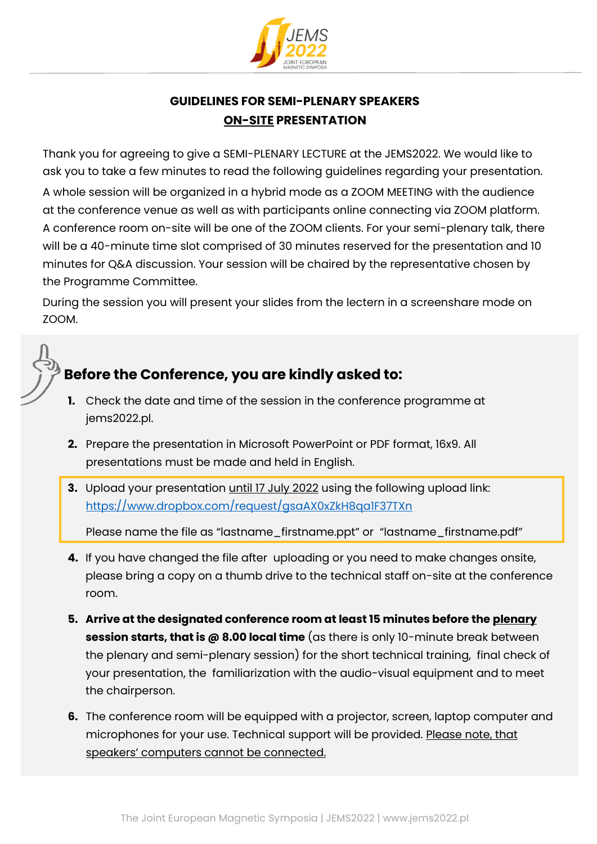

## **GUIDELINES FOR SEMI-PLENARY SPEAKERS ON-SITE PRESENTATION**

Thank you for agreeing to give a SEMI-PLENARY LECTURE at the JEMS2022. We would like to ask you to take a few minutes to read the following guidelines regarding your presentation. A whole session will be organized in a hybrid mode as a ZOOM MEETING with the audience at the conference venue as well as with participants online connecting via ZOOM platform. A conference room on-site will be one of the ZOOM clients. For your semi-plenary talk, there will be a 40-minute time slot comprised of 30 minutes reserved for the presentation and 10 minutes for Q&A discussion. Your session will be chaired by the representative chosen by the Programme Committee.

During the session you will present your slides from the lectern in a screenshare mode on ZOOM.



## **Before the Conference, you are kindly asked to:**

- **1.** Check the date and time of the session in the conference programme at jems2022.pl.
- **2.** Prepare the presentation in Microsoft PowerPoint or PDF format, 16x9. All presentations must be made and held in English.
- **3.** Upload your presentation until 17 July 2022 using the following upload link: <https://www.dropbox.com/request/gsaAX0xZkH8qa1F37TXn>

Please name the file as "lastname\_firstname.ppt" or "lastname\_firstname.pdf"

- **4.** If you have changed the file after uploading or you need to make changes onsite, please bring a copy on a thumb drive to the technical staff on-site at the conference room.
- **5. Arrive at the designated conference room at least 15 minutes before the plenary session starts, that is @ 8.00 local time** (as there is only 10-minute break between the plenary and semi-plenary session) for the short technical training, final check of your presentation, the familiarization with the audio-visual equipment and to meet the chairperson.
- **6.** The conference room will be equipped with a projector, screen, laptop computer and microphones for your use. Technical support will be provided. Please note, that speakers' computers cannot be connected.